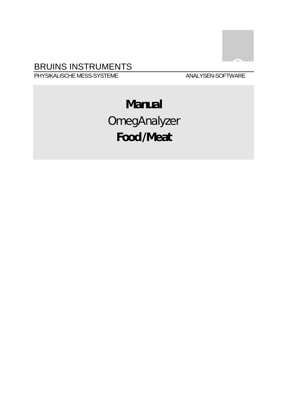### BRUINS INSTRUMENTS

PHYSIKALISCHE MESS-SYSTEME

ANALYSEN-SOFTWARE

# **Manual**  OmegAnalyzer **Food/Meat**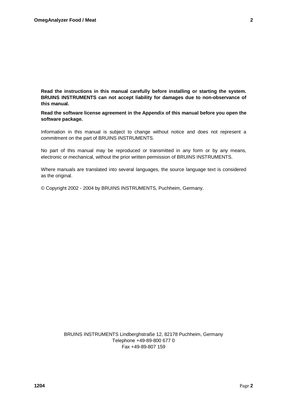**Read the instructions in this manual carefully before installing or starting the system. BRUINS INSTRUMENTS can not accept liability for damages due to non-observance of this manual.** 

**Read the software license agreement in the Appendix of this manual before you open the software package.** 

Information in this manual is subject to change without notice and does not represent a commitment on the part of BRUINS INSTRUMENTS.

No part of this manual may be reproduced or transmitted in any form or by any means, electronic or mechanical, without the prior written permission of BRUINS INSTRUMENTS.

Where manuals are translated into several languages, the source language text is considered as the original.

© Copyright 2002 - 2004 by BRUINS INSTRUMENTS, Puchheim, Germany.

BRUINS INSTRUMENTS Lindberghstraße 12, 82178 Puchheim, Germany Telephone +49-89-800 677 0 Fax +49-89-807 159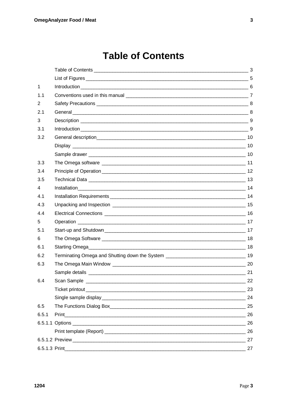$\overline{\mathbf{3}}$ 

# **Table of Contents**

| $\mathbf{1}$ |                                                                                                                                |    |
|--------------|--------------------------------------------------------------------------------------------------------------------------------|----|
| 1.1          |                                                                                                                                |    |
| 2            |                                                                                                                                |    |
| 2.1          |                                                                                                                                |    |
| 3            |                                                                                                                                |    |
| 3.1          |                                                                                                                                |    |
| 3.2          |                                                                                                                                |    |
|              |                                                                                                                                |    |
|              |                                                                                                                                |    |
| 3.3          |                                                                                                                                |    |
| 3.4          |                                                                                                                                |    |
| 3.5          |                                                                                                                                |    |
| 4            |                                                                                                                                |    |
| 4.1          |                                                                                                                                |    |
| 4.3          |                                                                                                                                |    |
| 4.4          |                                                                                                                                |    |
| 5            |                                                                                                                                |    |
| 5.1          |                                                                                                                                |    |
| 6            |                                                                                                                                |    |
| 6.1          |                                                                                                                                |    |
| 6.2          | Terminating Omega and Shutting down the System __________________________________ 19                                           |    |
| 6.3          |                                                                                                                                |    |
|              |                                                                                                                                |    |
| 6.4          | Scan Sample                                                                                                                    | 22 |
|              |                                                                                                                                | 23 |
|              |                                                                                                                                | 24 |
| 6.5          |                                                                                                                                | 25 |
| 6.5.1        | Print<br><u> 1989 - Johann Stoff, deutscher Stoff, der Stoff, der Stoff, der Stoff, der Stoff, der Stoff, der Stoff, der S</u> | 26 |
|              |                                                                                                                                | 26 |
|              |                                                                                                                                | 26 |
|              |                                                                                                                                | 27 |
|              |                                                                                                                                | 27 |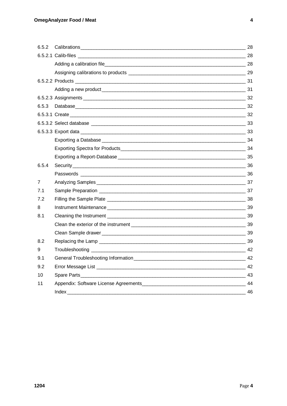| 6.5.3<br>Database 32                                                                                                                                                                                                                            |    |
|-------------------------------------------------------------------------------------------------------------------------------------------------------------------------------------------------------------------------------------------------|----|
|                                                                                                                                                                                                                                                 |    |
|                                                                                                                                                                                                                                                 |    |
|                                                                                                                                                                                                                                                 |    |
|                                                                                                                                                                                                                                                 |    |
|                                                                                                                                                                                                                                                 |    |
|                                                                                                                                                                                                                                                 |    |
| 6.5.4                                                                                                                                                                                                                                           |    |
|                                                                                                                                                                                                                                                 |    |
| $\overline{7}$                                                                                                                                                                                                                                  |    |
| 7.1                                                                                                                                                                                                                                             |    |
| 7.2                                                                                                                                                                                                                                             |    |
| 8                                                                                                                                                                                                                                               |    |
| 8.1                                                                                                                                                                                                                                             |    |
|                                                                                                                                                                                                                                                 |    |
|                                                                                                                                                                                                                                                 |    |
| 8.2                                                                                                                                                                                                                                             |    |
| 9                                                                                                                                                                                                                                               | 42 |
| 9.1                                                                                                                                                                                                                                             | 42 |
| 9.2                                                                                                                                                                                                                                             | 42 |
| 10<br>Spare Parts <b>Example 20</b> Spare Parts <b>Contract Contract Contract Contract Contract Contract Contract Contract Contract Contract Contract Contract Contract Contract Contract Contract Contract Contract Contract Contract Cont</b> | 43 |
| 11                                                                                                                                                                                                                                              | 44 |
|                                                                                                                                                                                                                                                 | 46 |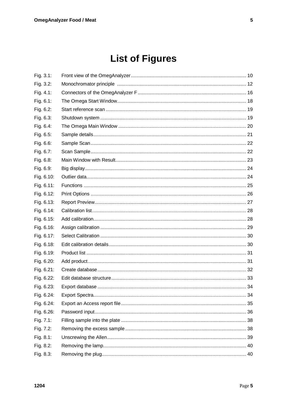# **List of Figures**

| Fig. 3.1:     |                  |    |
|---------------|------------------|----|
| Fig. 3.2:     |                  |    |
| Fig. 4.1:     |                  |    |
| Fig. 6.1:     |                  |    |
| Fig. 6.2:     |                  |    |
| Fig. 6.3:     |                  |    |
| Fig. 6.4:     |                  |    |
| Fig. 6.5:     |                  |    |
| Fig. 6.6:     |                  |    |
| Fig. 6.7:     |                  |    |
| Fig. 6.8:     |                  |    |
| Fig. 6.9:     |                  |    |
| Fig. 6.10:    |                  |    |
| Fig. 6.11:    |                  |    |
| Fig. 6.12:    |                  |    |
| Fig. 6.13:    |                  |    |
| Fig. 6.14:    |                  |    |
| Fig. 6.15:    |                  |    |
| Fig. 6.16:    |                  |    |
| Fig. 6.17:    |                  |    |
| Fig. 6.18:    |                  |    |
| Fig. 6.19:    |                  |    |
| Fig. 6.20:    |                  |    |
| Fig. 6.21:    |                  |    |
| Fig. 6.22:    |                  |    |
| Fig. $6.23$ : | Export database. | 34 |
| Fig. 6.24:    |                  |    |
| Fig. 6.24:    |                  |    |
| Fig. 6.26:    |                  |    |
| Fig. 7.1:     |                  |    |
| Fig. 7.2:     |                  |    |
| Fig. 8.1:     |                  |    |
| Fig. 8.2:     |                  |    |
| Fig. 8.3:     |                  |    |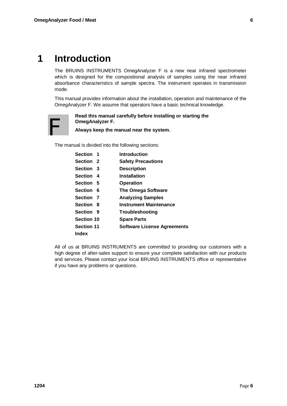# **1 Introduction**

The BRUINS INSTRUMENTS OmegAnalyzer F is a new near infrared spectrometer which is designed for the compositional analysis of samples using the near infrared absorbance characteristics of sample spectra. The instrument operates in transmission mode.

This manual provides information about the installation, operation and maintenance of the OmegAnalyzer F. We assume that operators have a basic technical knowledge.



#### **Read this manual carefully before installing or starting the OmegAnalyzer F.**

**Always keep the manual near the system.** 

The manual is divided into the following sections:

| Section 1         | Introduction                       |
|-------------------|------------------------------------|
| Section 2         | <b>Safety Precautions</b>          |
| Section 3         | <b>Description</b>                 |
| Section 4         | <b>Installation</b>                |
| Section 5         | <b>Operation</b>                   |
| Section 6         | <b>The Omega Software</b>          |
| Section 7         | <b>Analyzing Samples</b>           |
| Section 8         | <b>Instrument Maintenance</b>      |
| Section 9         | Troubleshooting                    |
| <b>Section 10</b> | <b>Spare Parts</b>                 |
| <b>Section 11</b> | <b>Software License Agreements</b> |
| Index             |                                    |

All of us at BRUINS INSTRUMENTS are committed to providing our customers with a high degree of after-sales support to ensure your complete satisfaction with our products and services. Please contact your local BRUINS INSTRUMENTS office or representative if you have any problems or questions.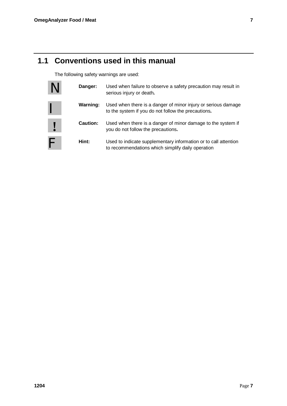# **1.1 Conventions used in this manual**

The following safety warnings are used:

|   | Danger:         | Used when failure to observe a safety precaution may result in<br>serious injury or death.                           |
|---|-----------------|----------------------------------------------------------------------------------------------------------------------|
|   | Warning:        | Used when there is a danger of minor injury or serious damage<br>to the system if you do not follow the precautions. |
|   | <b>Caution:</b> | Used when there is a danger of minor damage to the system if<br>you do not follow the precautions.                   |
| F | Hint:           | Used to indicate supplementary information or to call attention<br>to recommendations which simplify daily operation |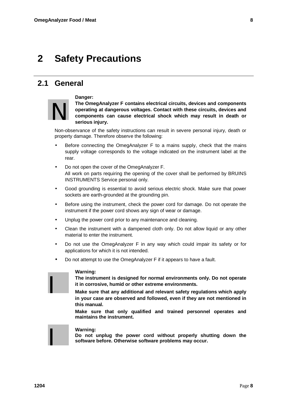## **2 Safety Precautions**

### **2.1 General**

#### **Danger:**



**The OmegAnalyzer F contains electrical circuits, devices and components operating at dangerous voltages. Contact with these circuits, devices and components can cause electrical shock which may result in death or serious injury.** 

Non-observance of the safety instructions can result in severe personal injury, death or property damage. Therefore observe the following:

- Before connecting the OmegAnalyzer F to a mains supply, check that the mains supply voltage corresponds to the voltage indicated on the instrument label at the rear.
- Do not open the cover of the OmegAnalyzer F. All work on parts requiring the opening of the cover shall be performed by BRUINS INSTRUMENTS Service personal only.
- Good grounding is essential to avoid serious electric shock. Make sure that power sockets are earth-grounded at the grounding pin.
- Before using the instrument, check the power cord for damage. Do not operate the instrument if the power cord shows any sign of wear or damage.
- Unplug the power cord prior to any maintenance and cleaning.
- Clean the instrument with a dampened cloth only. Do not allow liquid or any other material to enter the instrument.
- Do not use the OmegAnalyzer F in any way which could impair its safety or for applications for which it is not intended.
- Do not attempt to use the OmegAnalyzer F if it appears to have a fault.

#### **Warning:**

**The instrument is designed for normal environments only. Do not operate it in corrosive, humid or other extreme environments.** 

**Make sure that any additional and relevant safety regulations which apply in your case are observed and followed, even if they are not mentioned in this manual.** 

**Make sure that only qualified and trained personnel operates and maintains the instrument.** 



I

#### **Warning:**

**Do not unplug the power cord without properly shutting down the software before. Otherwise software problems may occur.**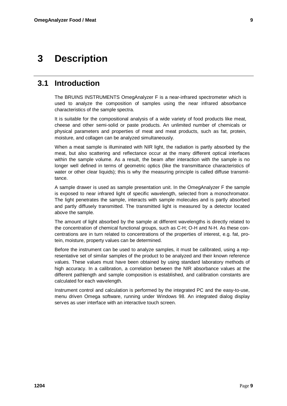# **3 Description**

### **3.1 Introduction**

The BRUINS INSTRUMENTS OmegAnalyzer F is a near-infrared spectrometer which is used to analyze the composition of samples using the near infrared absorbance characteristics of the sample spectra.

It is suitable for the compositional analysis of a wide variety of food products like meat, cheese and other semi-solid or paste products. An unlimited number of chemicals or physical parameters and properties of meat and meat products, such as fat, protein, moisture, and collagen can be analyzed simultaneously.

When a meat sample is illuminated with NIR light, the radiation is partly absorbed by the meat, but also scattering and reflectance occur at the many different optical interfaces within the sample volume. As a result, the beam after interaction with the sample is no longer well defined in terms of geometric optics (like the transmittance characteristics of water or other clear liquids); this is why the measuring principle is called diffuse transmittance.

A sample drawer is used as sample presentation unit. In the OmegAnalyzer F the sample is exposed to near infrared light of specific wavelength, selected from a monochromator. The light penetrates the sample, interacts with sample molecules and is partly absorbed and partly diffusely transmitted. The transmitted light is measured by a detector located above the sample.

The amount of light absorbed by the sample at different wavelengths is directly related to the concentration of chemical functional groups, such as C-H; O-H and N-H. As these concentrations are in turn related to concentrations of the properties of interest, e.g. fat, protein, moisture, property values can be determined.

Before the instrument can be used to analyze samples, it must be calibrated, using a representative set of similar samples of the product to be analyzed and their known reference values. These values must have been obtained by using standard laboratory methods of high accuracy. In a calibration, a correlation between the NIR absorbance values at the different pathlength and sample composition is established, and calibration constants are calculated for each wavelength.

Instrument control and calculation is performed by the integrated PC and the easy-to-use, menu driven Omega software, running under Windows 98. An integrated dialog display serves as user interface with an interactive touch screen.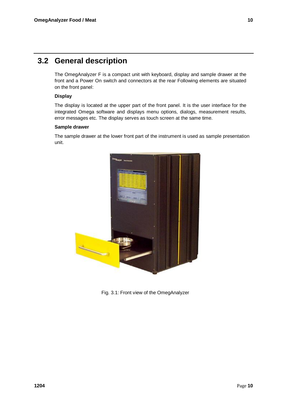### **3.2 General description**

The OmegAnalyzer F is a compact unit with keyboard, display and sample drawer at the front and a Power On switch and connectors at the rear Following elements are situated on the front panel:

### **Display**

The display is located at the upper part of the front panel. It is the user interface for the integrated Omega software and displays menu options, dialogs, measurement results, error messages etc. The display serves as touch screen at the same time.

### **Sample drawer**

The sample drawer at the lower front part of the instrument is used as sample presentation unit.



Fig. 3.1: Front view of the OmegAnalyzer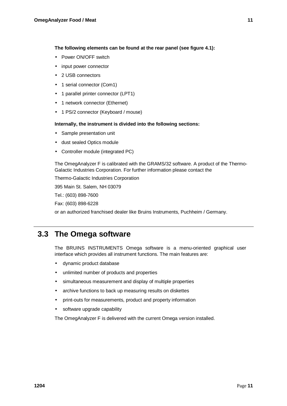**The following elements can be found at the rear panel (see figure 4.1):** 

- Power ON/OFF switch
- input power connector
- 2 USB connectors
- 1 serial connector (Com1)
- 1 parallel printer connector (LPT1)
- 1 network connector (Ethernet)
- 1 PS/2 connector (Keyboard / mouse)

#### **Internally, the instrument is divided into the following sections:**

- Sample presentation unit
- dust sealed Optics module
- Controller module (integrated PC)

The OmegAnalyzer F is calibrated with the GRAMS/32 software. A product of the Thermo-Galactic Industries Corporation. For further information please contact the

Thermo-Galactic Industries Corporation

395 Main St. Salem, NH 03079

Tel.: (603) 898-7600

Fax: (603) 898-6228

or an authorized franchised dealer like Bruins Instruments, Puchheim / Germany.

### **3.3 The Omega software**

The BRUINS INSTRUMENTS Omega software is a menu-oriented graphical user interface which provides all instrument functions. The main features are:

- dynamic product database
- unlimited number of products and properties
- simultaneous measurement and display of multiple properties
- archive functions to back up measuring results on diskettes
- print-outs for measurements, product and property information
- software upgrade capability

The OmegAnalyzer F is delivered with the current Omega version installed.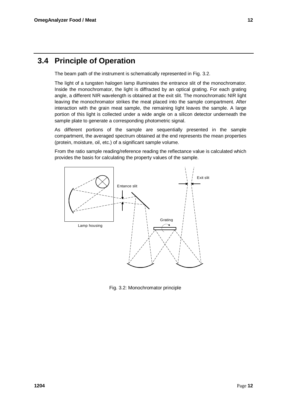### **3.4 Principle of Operation**

The beam path of the instrument is schematically represented in Fig. 3.2.

The light of a tungsten halogen lamp illuminates the entrance slit of the monochromator. Inside the monochromator, the light is diffracted by an optical grating. For each grating angle, a different NIR wavelength is obtained at the exit slit. The monochromatic NIR light leaving the monochromator strikes the meat placed into the sample compartment. After interaction with the grain meat sample, the remaining light leaves the sample. A large portion of this light is collected under a wide angle on a silicon detector underneath the sample plate to generate a corresponding photometric signal.

As different portions of the sample are sequentially presented in the sample compartment, the averaged spectrum obtained at the end represents the mean properties (protein, moisture, oil, etc.) of a significant sample volume.

From the ratio sample reading/reference reading the reflectance value is calculated which provides the basis for calculating the property values of the sample.



Fig. 3.2: Monochromator principle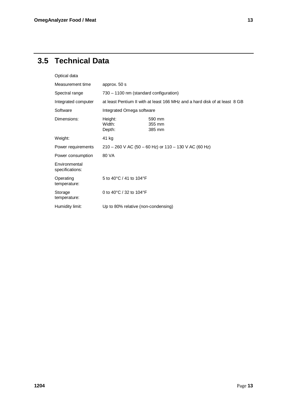# **3.5 Technical Data**

| Optical data |
|--------------|
|--------------|

| approx. 50 s                                  |                                                                            |
|-----------------------------------------------|----------------------------------------------------------------------------|
| 730 – 1100 nm (standard configuration)        |                                                                            |
|                                               | at least Pentium II with at least 166 MHz and a hard disk of at least 8 GB |
| Integrated Omega software                     |                                                                            |
| Height:<br>Width:<br>Depth:                   | 590 mm<br>355 mm<br>385 mm                                                 |
| 41 kg                                         |                                                                            |
|                                               | $210 - 260$ V AC (50 - 60 Hz) or 110 - 130 V AC (60 Hz)                    |
| 80 VA                                         |                                                                            |
|                                               |                                                                            |
| 5 to 40 $^{\circ}$ C / 41 to 104 $^{\circ}$ F |                                                                            |
| 0 to 40°C / 32 to 104°F                       |                                                                            |
| Up to 80% relative (non-condensing)           |                                                                            |
|                                               |                                                                            |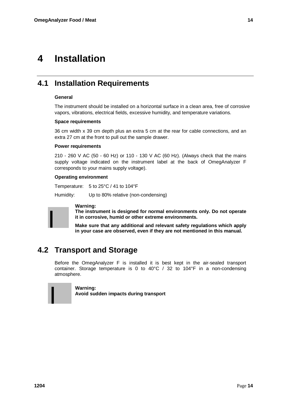# **4 Installation**

### **4.1 Installation Requirements**

#### **General**

The instrument should be installed on a horizontal surface in a clean area, free of corrosive vapors, vibrations, electrical fields, excessive humidity, and temperature variations.

#### **Space requirements**

36 cm width x 39 cm depth plus an extra 5 cm at the rear for cable connections, and an extra 27 cm at the front to pull out the sample drawer.

#### **Power requirements**

210 - 260 V AC (50 - 60 Hz) or 110 - 130 V AC (60 Hz). (Always check that the mains supply voltage indicated on the instrument label at the back of OmegAnalyzer F corresponds to your mains supply voltage).

#### **Operating environment**

Temperature: 5 to 25°C / 41 to 104°F

Humidity: Up to 80% relative (non-condensing)



**The instrument is designed for normal environments only. Do not operate it in corrosive, humid or other extreme environments.** 

**Make sure that any additional and relevant safety regulations which apply in your case are observed, even if they are not mentioned in this manual.**

### **4.2 Transport and Storage**

Before the OmegAnalyzer F is installed it is best kept in the air-sealed transport container. Storage temperature is 0 to 40°C / 32 to 104°F in a non-condensing atmosphere.



**Warning: Avoid sudden impacts during transport**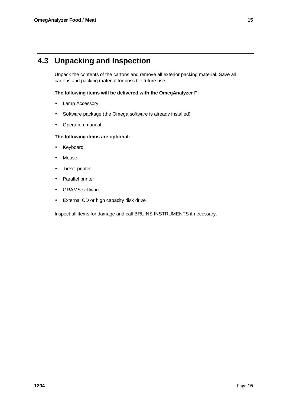### **4.3 Unpacking and Inspection**

Unpack the contents of the cartons and remove all exterior packing material. Save all cartons and packing material for possible future use.

**The following items will be delivered with the OmegAnalyzer F:** 

- Lamp Accessory
- Software package (the Omega software is already installed)
- Operation manual

### **The following items are optional:**

- **Keyboard**
- **Mouse**
- Ticket printer
- Parallel printer
- GRAMS-software
- External CD or high capacity disk drive

Inspect all items for damage and call BRUINS INSTRUMENTS if necessary.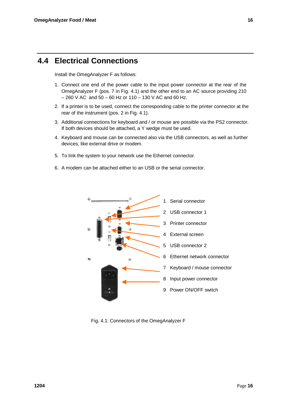### **4.4 Electrical Connections**

Install the OmegAnalyzer F as follows:

- 1. Connect one end of the power cable to the input power connector at the rear of the OmegAnalyzer F (pos. 7 in Fig. 4.1) and the other end to an AC source providing 210  $-260$  V AC and  $50 - 60$  Hz or 110  $-$  130 V AC and 60 Hz.
- 2. If a printer is to be used, connect the corresponding cable to the printer connector at the rear of the instrument (pos. 2 in Fig. 4.1).
- 3. Additional connections for keyboard and / or mouse are possible via the PS2 connector. If both devices should be attached, a Y wedge must be used.
- 4. Keyboard and mouse can be connected also via the USB connectors, as well as further devices, like external drive or modem.
- 5. To link the system to your network use the Ethernet connector.
- 6. A modem can be attached either to an USB or the serial connector.



Fig. 4.1: Connectors of the OmegAnalyzer F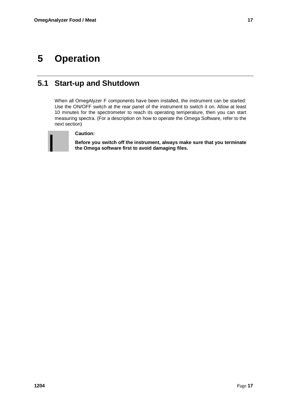# **5 Operation**

### **5.1 Start-up and Shutdown**

When all OmegAlyzer F components have been installed, the instrument can be started: Use the ON/OFF switch at the rear panel of the instrument to switch it on. Allow at least 10 minutes for the spectrometer to reach its operating temperature, then you can start measuring spectra. (For a description on how to operate the Omega Software, refer to the next section)

### **Caution:**

**Before you switch off the instrument, always make sure that you terminate** I **the Omega software first to avoid damaging files.**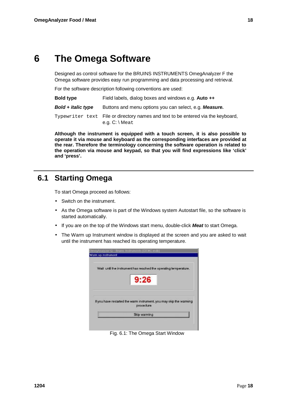## **6 The Omega Software**

Designed as control software for the BRUINS INSTRUMENTS OmegAnalyzer F the Omega software provides easy run programming and data processing and retrieval.

For the software description following conventions are used:

| <b>Bold type</b>          | Field labels, dialog boxes and windows e.g. Auto ++                                                        |
|---------------------------|------------------------------------------------------------------------------------------------------------|
| <b>Bold + italic type</b> | Buttons and menu options you can select, e.g. Measure.                                                     |
|                           | Typewriter text File or directory names and text to be entered via the keyboard,<br>e.g. $C: \Lambda$ e.at |

**Although the instrument is equipped with a touch screen, it is also possible to operate it via mouse and keyboard as the corresponding interfaces are provided at the rear. Therefore the terminology concerning the software operation is related to the operation via mouse and keypad, so that you will find expressions like 'click' and 'press'.**

### **6.1 Starting Omega**

To start Omega proceed as follows:

- Switch on the instrument.
- As the Omega software is part of the Windows system Autostart file, so the software is started automatically.
- If you are on the top of the Windows start menu, double-click *Meat* to start Omega.
- The Warm up Instrument window is displayed at the screen and you are asked to wait until the instrument has reached its operating temperature.

| Wait until the instrument has reached the operating temperature.    |
|---------------------------------------------------------------------|
|                                                                     |
| 9:26                                                                |
|                                                                     |
|                                                                     |
| If you have restarted the warm instrument, you may skip the warming |
| procedure                                                           |
| Skip warming                                                        |

Fig. 6.1: The Omega Start Window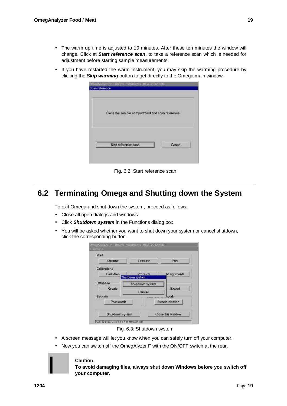- The warm up time is adjusted to 10 minutes. After these ten minutes the window will change. Click at *Start reference scan*, to take a reference scan which is needed for adjustment before starting sample measurements.
- If you have restarted the warm instrument, you may skip the warming procedure by clicking the *Skip warming* button to get directly to the Omega main window.

| Scan reference |                                                 |        |
|----------------|-------------------------------------------------|--------|
|                | Close the sample compartment and scan reference |        |
|                | Start reference scan                            | Cancel |

Fig. 6.2: Start reference scan

### **6.2 Terminating Omega and Shutting down the System**

To exit Omega and shut down the system, proceed as follows:

- Close all open dialogs and windows.
- Click *Shutdown system* in the Functions dialog box.
- You will be asked whether you want to shut down your system or cancel shutdown, click the corresponding button.

| Print           |                 |                   |  |
|-----------------|-----------------|-------------------|--|
| Options         | Preview         | Print             |  |
| Calibrations    |                 |                   |  |
| Calib-files     | <b>Products</b> | Assignments       |  |
|                 | Shutdown system |                   |  |
| Database        | Shutdown system |                   |  |
| Create          |                 | Export            |  |
|                 | Cancel          |                   |  |
| Security        |                 | <b>hwork</b>      |  |
| Passwords       |                 | Standardisation   |  |
| Shutdown system |                 | Close this window |  |

Fig. 6.3: Shutdown system

- A screen message will let you know when you can safely turn off your computer.
- Now you can switch off the OmegAlyzer F with the ON/OFF switch at the rear.



#### **Caution:**

**To avoid damaging files, always shut down Windows before you switch off** I **your computer.**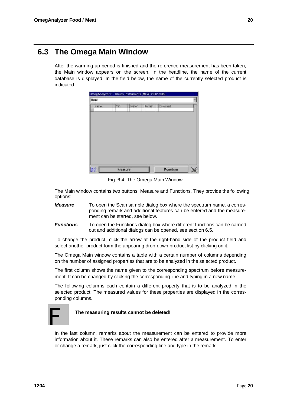### **6.3 The Omega Main Window**

After the warming up period is finished and the reference measurement has been taken, the Main window appears on the screen. In the headline, the name of the current database is displayed. In the field below, the name of the currently selected product is indicated.

| Name | Fat. | <b>Water</b> | Protein | Comment |  |
|------|------|--------------|---------|---------|--|
|      |      |              |         |         |  |
|      |      |              |         |         |  |
|      |      |              |         |         |  |
|      |      |              |         |         |  |
|      |      |              |         |         |  |
|      |      |              |         |         |  |
|      |      |              |         |         |  |

Fig. 6.4: The Omega Main Window

The Main window contains two buttons: Measure and Functions. They provide the following options:

- *Measure* To open the Scan sample dialog box where the spectrum name, a corresponding remark and additional features can be entered and the measurement can be started, see below.
- *Functions* To open the Functions dialog box where different functions can be carried out and additional dialogs can be opened, see section 6.5.

To change the product, click the arrow at the right-hand side of the product field and select another product form the appearing drop-down product list by clicking on it.

The Omega Main window contains a table with a certain number of columns depending on the number of assigned properties that are to be analyzed in the selected product.

The first column shows the name given to the corresponding spectrum before measurement. It can be changed by clicking the corresponding line and typing in a new name.

The following columns each contain a different property that is to be analyzed in the selected product. The measured values for these properties are displayed in the corresponding columns.

# **The measuring results cannot be deleted!** F

In the last column, remarks about the measurement can be entered to provide more information about it. These remarks can also be entered after a measurement. To enter

or change a remark, just click the corresponding line and type in the remark.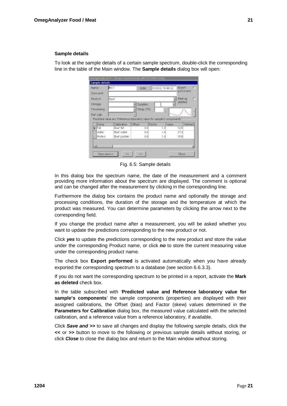#### **Sample details**

To look at the sample details of a certain sample spectrum, double-click the corresponding line in the table of the Main window. The **Sample details** dialog box will open:

| Sample details                     |      |                        |                                                                        |                   |                      |              |
|------------------------------------|------|------------------------|------------------------------------------------------------------------|-------------------|----------------------|--------------|
| Nama:                              | Mtx1 |                        | Date:                                                                  | 26.09.02.16:44:32 | Export               | п            |
| Comment:                           |      |                        |                                                                        |                   |                      | performed    |
| Product:                           | Beef |                        |                                                                        |                   |                      | Mark as<br>п |
| Storage:                           |      |                        | Duration:                                                              |                   | deleted              |              |
|                                    |      |                        |                                                                        |                   |                      |              |
|                                    |      |                        |                                                                        |                   |                      |              |
| Processing:                        |      |                        | Temp. ("C).                                                            |                   | <b>ROOM</b>          |              |
| Ref-Lab:                           |      |                        |                                                                        |                   |                      |              |
|                                    |      |                        | Predicted value and Raference laboratory value for sample's components |                   |                      |              |
| Comp.<br>$\blacktriangleright$ Fat |      | Caltration<br>Baef fat | Offset<br>ōű                                                           | Factor<br>1,0     | <b>eulev</b><br>12.6 | Referent     |
| Wate <sup>-</sup>                  |      | Bee" water             | 0.0                                                                    | 1:0               | 37.8                 |              |

Fig. 6.5: Sample details

In this dialog box the spectrum name, the date of the measurement and a comment providing more information about the spectrum are displayed. The comment is optional and can be changed after the measurement by clicking in the corresponding line.

Furthermore the dialog box contains the product name and optionally the storage and processing conditions, the duration of the storage and the temperature at which the product was measured. You can determine parameters by clicking the arrow next to the corresponding field.

If you change the product name after a measurement, you will be asked whether you want to update the predictions corresponding to the new product or not.

Click *yes* to update the predictions corresponding to the new product and store the value under the corresponding Product name, or click *no* to store the current measuring value under the corresponding product name.

The check box **Export performed** is activated automatically when you have already exported the corresponding spectrum to a database (see section 6.6.3.3).

If you do not want the corresponding spectrum to be printed in a report, activate the **Mark as deleted** check box.

In the table subscribed with '**Predicted value and Reference laboratory value for sample's components**' the sample components (properties) are displayed with their assigned calibrations, the Offset (bias) and Factor (skew) values determined in the **Parameters for Calibration** dialog box, the measured value calculated with the selected calibration, and a reference value from a reference laboratory, if available.

Click *Save and >>* to save all changes and display the following sample details, click the *<<* or *>>* button to move to the following or previous sample details without storing, or click *Close* to close the dialog box and return to the Main window without storing.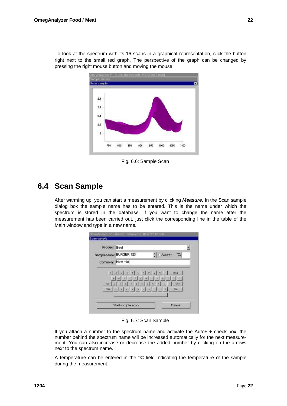To look at the spectrum with its 16 scans in a graphical representation, click the button right next to the small red graph. The perspective of the graph can be changed by pressing the right mouse button and moving the mouse.



Fig. 6.6: Sample Scan

### **6.4 Scan Sample**

After warming up, you can start a measurement by clicking *Measure*. In the Scan sample dialog box the sample name has to be entered. This is the name under which the spectrum is stored in the database. If you want to change the name after the measurement has been carried out, just click the corresponding line in the table of the Main window and type in a new name.

| Product: Beef        |                                                                                          |
|----------------------|------------------------------------------------------------------------------------------|
|                      | Samplename: BURGER 123<br>$C$ :<br>F Auto++                                              |
| Comment: New mix     |                                                                                          |
|                      | $\left\vert \gamma\right\vert$<br>b.<br><b>b</b><br>D                                    |
| Tob<br>Shift<br>li z | Ertet<br>$\mathbf{r}$<br>$\sim$<br>H x<br>h<br>ø<br>$\epsilon$<br>b n<br>Shak<br>$1 - 1$ |

Fig. 6.7: Scan Sample

If you attach a number to the spectrum name and activate the Auto+ + check box, the number behind the spectrum name will be increased automatically for the next measurement. You can also increase or decrease the added number by clicking on the arrows next to the spectrum name.

A temperature can be entered in the **°C** field indicating the temperature of the sample during the measurement.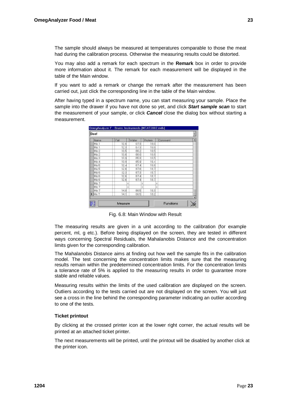The sample should always be measured at temperatures comparable to those the meat had during the calibration process. Otherwise the measuring results could be distorted.

You may also add a remark for each spectrum in the **Remark** box in order to provide more information about it. The remark for each measurement will be displayed in the table of the Main window.

If you want to add a remark or change the remark after the measurement has been carried out, just click the corresponding line in the table of the Main window.

After having typed in a spectrum name, you can start measuring your sample. Place the sample into the drawer if you have not done so yet, and click *Start sample scan* to start the measurement of your sample, or click *Cancel* close the dialog box without starting a measurement.

| Beef             |            |             |   |         |   |         |   |
|------------------|------------|-------------|---|---------|---|---------|---|
| Name             | <b>Fat</b> | Water       |   | Frotein |   | Comment | × |
| Mix 1            | 12.0       | 67.3        |   | 18.0    |   |         |   |
| Me: 1            | 12.3       | 673         |   | 18.6    |   |         |   |
| Mix <sub>2</sub> | 13.5       | 662         |   | 18.5    |   |         |   |
| Mix 2            | 13.6       | 66.0        |   | 18.6    |   |         |   |
| Mix 3            | 13.9       | 85.8        |   | 18.5    |   |         |   |
| Mix 4            | 13.9       | 65.9        |   | 18.4    |   |         |   |
| Mix 6            | 12,4       | 67.4        |   | 18月     |   |         |   |
| Mix 5            | 12,6       | 67.6        |   | 18.7    |   |         |   |
| Mix 6            | 12.3       | 67.3        |   | 18.7    |   |         |   |
| Mix 6            | 12.6       | 67.4        |   | 18.7    |   |         |   |
| <b>Mix 6</b>     | 12.6       | 67.4        |   | 18.7    |   |         |   |
| Mk 7             |            | $^{\prime}$ | ż |         | × |         |   |
| Mix 7            |            | $_{\rm 30}$ | ż |         | × |         |   |
| Mix 7            | 14.0       | 66.5        |   | 18.8    |   |         |   |
| $MK$ 7           | 14.1       | 60.51       |   | 18.2    |   |         |   |
|                  |            |             |   |         |   |         | τ |

Fig. 6.8: Main Window with Result

The measuring results are given in a unit according to the calibration (for example percent, ml, g etc.). Before being displayed on the screen, they are tested in different ways concerning Spectral Residuals, the Mahalanobis Distance and the concentration limits given for the corresponding calibration.

The Mahalanobis Distance aims at finding out how well the sample fits in the calibration model. The test concerning the concentration limits makes sure that the measuring results remain within the predetermined concentration limits. For the concentration limits a tolerance rate of 5% is applied to the measuring results in order to guarantee more stable and reliable values.

Measuring results within the limits of the used calibration are displayed on the screen. Outliers according to the tests carried out are not displayed on the screen. You will just see a cross in the line behind the corresponding parameter indicating an outlier according to one of the tests.

#### **Ticket printout**

By clicking at the crossed printer icon at the lower right corner, the actual results will be printed at an attached ticket printer.

The next measurements will be printed, until the printout will be disabled by another click at the printer icon.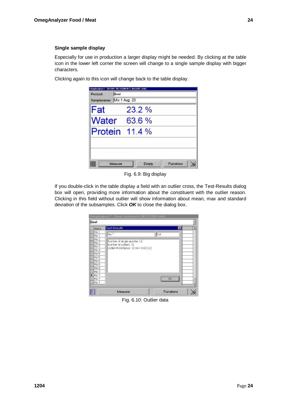#### **Single sample display**

Especially for use in production a larger display might be needed. By clicking at the table icon in the lower left corner the screen will change to a single sample display with bigger characters.

|  |  | Clicking again to this icon will change back to the table display. |  |  |
|--|--|--------------------------------------------------------------------|--|--|
|  |  |                                                                    |  |  |

| 23.2% |
|-------|
|       |
| 63.6% |
| 11.4% |
|       |

Fig. 6.9: Big display

If you double-click in the table display a field with an outlier cross, the Test-Results dialog box will open, providing more information about the constituent with the outlier reason. Clicking in this field without outlier will show information about mean, max and standard deviation of the subsamples. Click *OK* to close the dialog box.

|                  | <b>Test-Results</b>                  | ⊡         |  |
|------------------|--------------------------------------|-----------|--|
| Name<br>Mix 1    |                                      |           |  |
| Mtx 1            | Mot 7                                | Fat       |  |
| Mix <sub>2</sub> |                                      |           |  |
| Mix 2            | Number of single spectra: 12         |           |  |
| Mix 3            | Number of outliers: 12               |           |  |
| Mix 4            | Cuffer M-Disfance: 12.34 > 9.00 [12] |           |  |
| Mix 6            |                                      |           |  |
| Mix 5            |                                      |           |  |
| Mix 6            |                                      |           |  |
| Mix 6            |                                      |           |  |
| <b>Mix 6</b>     |                                      |           |  |
| Mix 7            |                                      |           |  |
| $Miz$ 7          |                                      |           |  |
| Mix 7            |                                      | <b>DK</b> |  |
| Mix 7            |                                      |           |  |

Fig. 6.10: Outlier data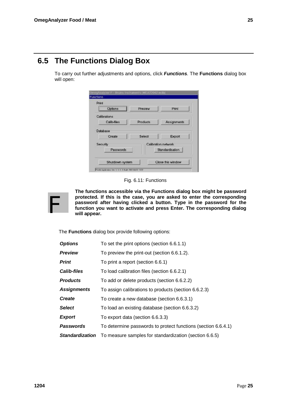### **6.5 The Functions Dialog Box**

To carry out further adjustments and options, click *Functions*. The **Functions** dialog box will open:

| <b>Options</b>     | Preview  | Print               |
|--------------------|----------|---------------------|
| Calibrations       |          |                     |
| Calib-files        | Products | Assignments         |
| Database<br>Create | Select   | Export              |
| Security           |          | Calibration natwork |
| Passwords          |          | Standardisation     |

Fig. 6.11: Functions



**The functions accessible via the Functions dialog box might be password protected. If this is the case, you are asked to enter the corresponding password after having clicked a button. Type in the password for the function you want to activate and press Enter. The corresponding dialog will appear.**

The **Functions** dialog box provide following options:

| <b>Options</b>         | To set the print options (section 6.6.1.1)                    |
|------------------------|---------------------------------------------------------------|
| <b>Preview</b>         | To preview the print-out (section 6.6.1.2).                   |
| Print                  | To print a report (section 6.6.1)                             |
| <b>Calib-files</b>     | To load calibration files (section 6.6.2.1)                   |
| <b>Products</b>        | To add or delete products (section 6.6.2.2)                   |
| <b>Assignments</b>     | To assign calibrations to products (section 6.6.2.3)          |
| <b>Create</b>          | To create a new database (section 6.6.3.1)                    |
| <b>Select</b>          | To load an existing database (section 6.6.3.2)                |
| <b>Export</b>          | To export data (section 6.6.3.3)                              |
| <b>Passwords</b>       | To determine passwords to protect functions (section 6.6.4.1) |
| <b>Standardization</b> | To measure samples for standardization (section 6.6.5)        |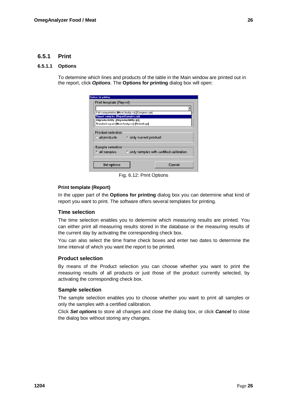### **6.5.1 Print**

#### **6.5.1.1 Options**

To determine which lines and products of the table in the Main window are printed out in the report, click *Options*. The **Options for printing** dialog box will open:

| Options by printing                          |                                             |                                             |
|----------------------------------------------|---------------------------------------------|---------------------------------------------|
| Print lemplale (Rep⊙ri)                      |                                             |                                             |
|                                              |                                             |                                             |
|                                              | Enh comparision (Ment Analyzed [Componerpt] |                                             |
| Report samples (ReportSamples.rpt)           |                                             |                                             |
| Reproducibility [Reproducibility.rpf]        |                                             |                                             |
| Standard agont (Ment Analyzied (Debuilt.rpf) |                                             |                                             |
|                                              |                                             |                                             |
| Product selection                            |                                             |                                             |
| $\subseteq$ all products.                    | <sup>2</sup> only current product           |                                             |
| Sample selection:                            |                                             |                                             |
| <sup>5</sup> all samples                     |                                             | flionly samples with certified calibration. |
|                                              |                                             |                                             |
|                                              |                                             |                                             |
| Set options                                  |                                             | Cancel                                      |
|                                              |                                             |                                             |

Fig. 6.12: Print Options

#### **Print template (Report)**

In the upper part of the **Options for printing** dialog box you can determine what kind of report you want to print. The software offers several templates for printing.

### **Time selection**

The time selection enables you to determine which measuring results are printed. You can either print all measuring results stored in the database or the measuring results of the current day by activating the corresponding check box.

You can also select the time frame check boxes and enter two dates to determine the time interval of which you want the report to be printed.

#### **Product selection**

By means of the Product selection you can choose whether you want to print the measuring results of all products or just those of the product currently selected, by activating the corresponding check box.

#### **Sample selection**

The sample selection enables you to choose whether you want to print all samples or only the samples with a certified calibration.

Click *Set options* to store all changes and close the dialog box, or click *Cancel* to close the dialog box without storing any changes.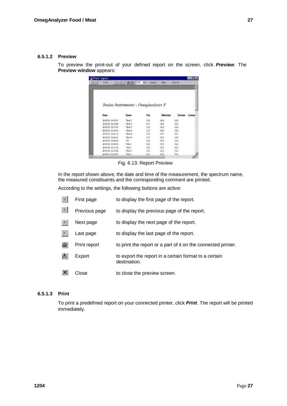### **6.5.1.2 Preview**

To preview the print-out of your defined report on the screen, click *Preview*. The **Preview window** appears:

| g Print report |                    |                                     |                                  |        |          |              | <b>EDIX</b> |
|----------------|--------------------|-------------------------------------|----------------------------------|--------|----------|--------------|-------------|
|                | T ol1              | ᆇ                                   | toon<br>$\overline{\phantom{a}}$ | Toal22 | 100%     | 22 of 22     |             |
|                |                    |                                     |                                  |        |          |              | ٠           |
|                |                    |                                     |                                  |        |          |              |             |
|                |                    |                                     |                                  |        |          |              |             |
|                |                    |                                     |                                  |        |          |              |             |
|                |                    | Bruins Instruments - OmegAnalyzer F |                                  |        |          |              |             |
|                |                    |                                     |                                  |        |          |              |             |
|                | <b>Date</b>        | Nazzar                              |                                  | Ext    | Moisture | Protein Camm |             |
|                | 260902 1610-18     | "Buf't                              |                                  | 12.9   | 磁石       | 18.6         |             |
|                | 260902 161206      | $-BerC2$                            |                                  | 13.7   | 68.D     | 13.3         |             |
|                | 260902 161336      | FBrf3                               |                                  | 133    | 65.4     | 13.4         |             |
|                | 260902 161423      | "Buf 4                              |                                  | 127    | 66.9     | 12.6         |             |
|                | 2012/01/2012       | "First"d                            |                                  | 126    | 61.2     | 13.1         |             |
|                | 26.09.02 16:42:16  | Berf4                               |                                  | 12.7   | 63.0     | 18.6         |             |
|                | 260902 164804      | *PC                                 |                                  | 128    | 67.2     | 18.6         |             |
|                | 2609.02 16:44:32   | "Mic1                               |                                  | 126    | 67.3     | 10.6         |             |
|                | 260902 1651.30     | "Mint                               |                                  | 123    | 67,3     | 18.6         |             |
|                | 260902 165342      | Mn2                                 |                                  | 135    | 62       | 18.3         |             |
|                | 2019/11/2 16:54:47 | "Mr.2                               |                                  | 13.6   | tà U     | 13.8         |             |
| œ              |                    |                                     |                                  |        |          |              | ×           |

Fig. 6.13: Report Preview

In the report shown above, the date and time of the measurement, the spectrum name, the measured constituents and the corresponding comment are printed.

According to the settings, the following buttons are active:

|   | First page    | to display the first page of the report.                              |
|---|---------------|-----------------------------------------------------------------------|
|   | Previous page | to display the previous page of the report.                           |
|   | Next page     | to display the next page of the report.                               |
|   | Last page     | to display the last page of the report.                               |
| 6 | Print report  | to print the report or a part of it on the connected printer.         |
| 函 | Export        | to export the report in a certain format to a certain<br>destination. |
|   | Close         | to close the preview screen.                                          |

### **6.5.1.3 Print**

To print a predefined report on your connected printer, click *Print*. The report will be printed immediately.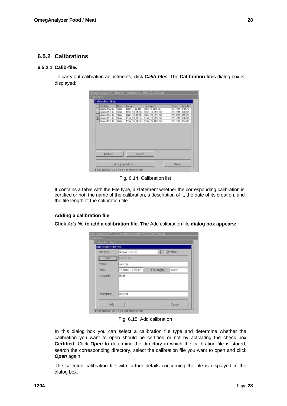### **6.5.2 Calibrations**

#### **6.5.2.1 Calib-files**

To carry out calibration adjustments, click *Calib-files*. The **Calibration files** dialog box is displayed:

|   | Fretype      | Cert | Neme              | Description       | Dete     | Length |
|---|--------------|------|-------------------|-------------------|----------|--------|
|   | Grams PLS-IQ | Nain | Beet 1 20 col     | Best_D_21% let    | 21:11:99 | 34B672 |
|   | Grams PLS-ID | Nein | Beet 10, 35.pal   | Beet_10 25% fat   | 21.11.99 | 356314 |
|   | Grams PLS-10 | Nain | Boat: 20, 45 call | Bect. 20, <5% fat | 27.12.99 | 35532B |
| ٠ | Grams PLS-10 | Nem  | Pork 10.35.5al    | Pork 10 :5% fet   | 21.11.99 | 356314 |
|   | Grams PLS-IQ | Main | Pork, 25, 60.161  | Pork 25 ED% fat   | 21.11.99 | 334316 |
|   |              |      |                   |                   |          |        |
|   |              |      |                   |                   |          |        |

Fig. 6.14: Calibration list

It contains a table with the File type, a statement whether the corresponding calibration is certified or not, the name of the calibration, a description of it, the date of its creation, and the file length of the calibration file.

#### **Adding a calibration file**

**Click** *Add file* **to add a calibration file. The** Add calibration file **dialog box appears:** 

| Add calibration file |                   |              |                    |
|----------------------|-------------------|--------------|--------------------|
| File type:           | Grams FLC-ID      |              | <b>F</b> Contribut |
| <b>Oben</b>          | Annoccos          |              |                    |
| Name:                | pork.cal          |              |                    |
| Date:                | 27.39.02.17:20:12 | File length: | 38400              |
| Elements:            | Meat              |              |                    |
| Description:         | pork.cal          |              |                    |

Fig. 6.15: Add calibration

In this dialog box you can select a calibration file type and determine whether the calibration you want to open should be certified or not by activating the check box **Certified**. Click *Open* to determine the directory in which the calibration file is stored, search the corresponding directory, select the calibration file you want to open and click *Open* again.

The selected calibration file with further details concerning the file is displayed in the dialog box.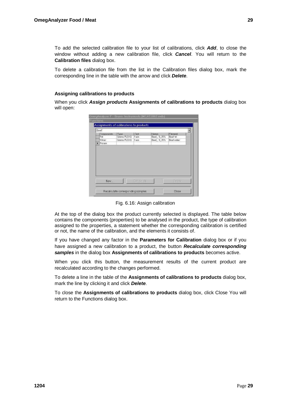To add the selected calibration file to your list of calibrations, click *Add*, to close the window without adding a new calibration file, click *Cancel*. You will return to the **Calibration files** dialog box.

To delete a calibration file from the list in the Calibration files dialog box, mark the corresponding line in the table with the arrow and click *Delete*.

#### **Assigning calibrations to products**

When you click *Assign products* **Assignments of calibrations to products** dialog box will open:

| Beef         |             |             |             |           |
|--------------|-------------|-------------|-------------|-----------|
| Companients. | Type        | <b>Cert</b> | Newton      | Flement   |
| Fet          | Grams PLSHQ | IN airs     | Beef 0_35%  | Beet 'et  |
| Weren        | Grams PLSHQ | Nein        | Boat 10 35% | Beatwater |
| $F$ Türgin   |             |             |             |           |
|              |             |             |             |           |

Fig. 6.16: Assign calibration

At the top of the dialog box the product currently selected is displayed. The table below contains the components (properties) to be analysed in the product, the type of calibration assigned to the properties, a statement whether the corresponding calibration is certified or not, the name of the calibration, and the elements it consists of.

If you have changed any factor in the **Parameters for Calibration** dialog box or if you have assigned a new calibration to a product, the button *Recalculate corresponding samples* in the dialog box **Assignments of calibrations to products** becomes active.

When you click this button, the measurement results of the current product are recalculated according to the changes performed.

To delete a line in the table of the **Assignments of calibrations to products** dialog box, mark the line by clicking it and click *Delete*.

To close the **Assignments of calibrations to products** dialog box, click Close You will return to the Functions dialog box.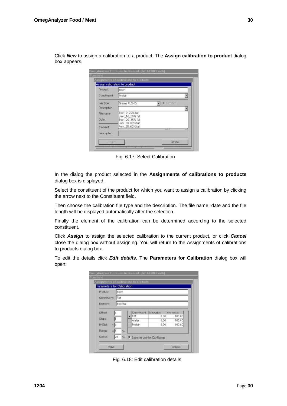|              | Assign calibration to product      |  |
|--------------|------------------------------------|--|
| Freeluct:    | Beef                               |  |
| Construent:  | Profein                            |  |
| Hie type:    | <b>Ficertised</b><br>Grams FLS-ID  |  |
| Description: |                                    |  |
| File name:   | Beef 0 20% fat                     |  |
| Date:        | Beef 10 95% fat<br>Beef 20_45% fat |  |
|              | Pork 10 35% fat                    |  |
| Element:     | Pork_25_60% fat                    |  |
| Description. |                                    |  |

Click *New* to assign a calibration to a product. The **Assign calibration to product** dialog box appears:

Fig. 6.17: Select Calibration

In the dialog the product selected in the **Assignments of calibrations to products** dialog box is displayed.

Select the constituent of the product for which you want to assign a calibration by clicking the arrow next to the Constituent field.

Then choose the calibration file type and the description. The file name, date and the file length will be displayed automatically after the selection.

Finally the element of the calibration can be determined according to the selected constituent.

Click *Assign* to assign the selected calibration to the current product, or click *Cancel* close the dialog box without assigning. You will return to the Assignments of calibrations to products dialog box.

To edit the details click *Edit details*. The **Parameters for Calibration** dialog box will open:

| Parameters for Calibration |                     | Assignments of calibrations to products. |         |                 |
|----------------------------|---------------------|------------------------------------------|---------|-----------------|
| Product:                   | Beef                |                                          |         |                 |
| Constituent: Fat           |                     |                                          |         |                 |
| Element                    | Beef fat            |                                          |         |                 |
| Diffset:                   | C.                  | Constituant                              | Mnyakia | <b>Naxvatie</b> |
|                            |                     | $\blacktriangleright$ Fat.               | 0.00    | 100,00          |
| Slope                      |                     | Water                                    | 0.001   | 100.00          |
| M-Dist                     | ls:                 | Protein                                  | 0.001   | 100.00          |
| $=$ $\epsilon$<br>Range:   | %                   |                                          |         |                 |
| Dutter:                    | 25<br>$\frac{1}{2}$ | F Baseline only for Cal-Range            |         |                 |

Fig. 6.18: Edit calibration details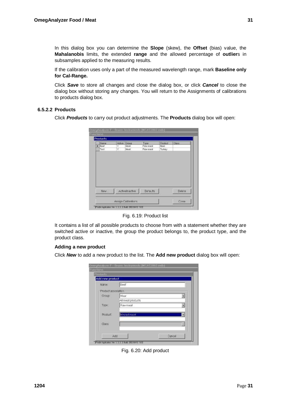In this dialog box you can determine the **Slope** (skew), the **Offset** (bias) value, the **Mahalanobis** limits, the extended **range** and the allowed percentage of **outlier**s in subsamples applied to the measuring results.

If the calibration uses only a part of the measured wavelength range, mark **Baseline only for Cal-Range.** 

Click *Save* to store all changes and close the dialog box, or click *Cancel* to close the dialog box without storing any changes. You will return to the Assignments of calibrations to products dialog box.

#### **6.5.2.2 Products**

Click *Products* to carry out product adjustments. The **Products** dialog box will open:

| Name<br>Baer<br>Test | ٧<br>Ÿ. | Active Group<br>Mapr<br><b>Mast</b> | Type:<br><b>FXW mast</b><br>Raw mest | Product<br>Boot<br>Turkay | Closs  |
|----------------------|---------|-------------------------------------|--------------------------------------|---------------------------|--------|
|                      |         |                                     |                                      |                           |        |
|                      |         |                                     |                                      |                           |        |
|                      |         |                                     |                                      |                           |        |
| New                  |         |                                     | De'aults                             |                           | Delete |
|                      |         |                                     | Active/nactive                       |                           |        |

Fig. 6.19: Product list

It contains a list of all possible products to choose from with a statement whether they are switched active or inactive, the group the product belongs to, the product type, and the product class.

### **Adding a new product**

Click *New* to add a new product to the list. The **Add new product** dialog box will open:

| Add new product             |                    |                          |
|-----------------------------|--------------------|--------------------------|
| Name:                       | Beet               |                          |
| Product association         |                    |                          |
| Group                       | Maar:              | $\overline{\phantom{a}}$ |
|                             | All meat products  |                          |
| Type:                       | Rawmeat            | ᆌ                        |
| Product:                    | <b>Minced meat</b> | ۰                        |
| <b>CONTRACTOR</b><br>Class: |                    | 固                        |

Fig. 6.20: Add product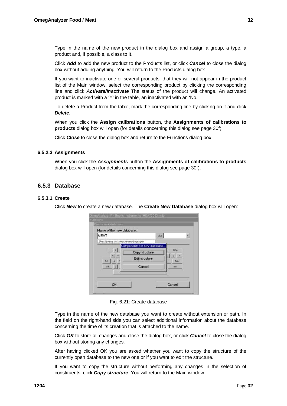Type in the name of the new product in the dialog box and assign a group, a type, a product and, if possible, a class to it.

Click *Add* to add the new product to the Products list, or click *Cancel* to close the dialog box without adding anything. You will return to the Products dialog box.

If you want to inactivate one or several products, that they will not appear in the product list of the Main window, select the corresponding product by clicking the corresponding line and click *Activate/Inactivate* The status of the product will change. An activated product is marked with a 'Y' in the table, an inactivated with an 'No.

To delete a Product from the table, mark the corresponding line by clicking on it and click *Delete*.

When you click the **Assign calibrations** button, the **Assignments of calibrations to products** dialog box will open (for details concerning this dialog see page 30f).

Click *Close* to close the dialog box and return to the Functions dialog box.

#### **6.5.2.3 Assignments**

When you click the *Assignments* button the **Assignments of calibrations to products** dialog box will open (for details concerning this dialog see page 30f).

### **6.5.3 Database**

#### **6.5.3.1 Create**

Click *New* to create a new database. The **Create New Database** dialog box will open:

| Name of the new database:                       |                             |  |        |
|-------------------------------------------------|-----------------------------|--|--------|
| <b>MEAT</b>                                     |                             |  |        |
| Enter filemame colv without extension or petit! |                             |  |        |
| 1 2                                             | Components for new database |  | BiSp   |
| W<br>n                                          | Copy structure              |  |        |
| Tah<br>id.                                      | Edit structure              |  | Frère  |
| 98.72                                           | Cancel                      |  | Skit   |
|                                                 |                             |  |        |
|                                                 |                             |  |        |
| OK                                              |                             |  | Cancel |

Fig. 6.21: Create database

Type in the name of the new database you want to create without extension or path. In the field on the right-hand side you can select additional information about the database concerning the time of its creation that is attached to the name.

Click *OK* to store all changes and close the dialog box, or click *Cancel* to close the dialog box without storing any changes.

After having clicked OK you are asked whether you want to copy the structure of the currently open database to the new one or if you want to edit the structure.

If you want to copy the structure without performing any changes in the selection of constituents, click *Copy structure*. You will return to the Main window.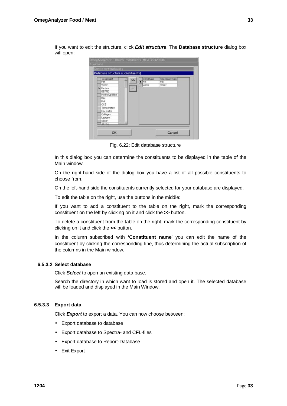If you want to edit the structure, click *Edit structure*. The **Database structure** dialog box will open:

| Database structure (Constituents)                                                                                             | Create new database |               |   |                               |                                         |
|-------------------------------------------------------------------------------------------------------------------------------|---------------------|---------------|---|-------------------------------|-----------------------------------------|
| Constituent<br>hat<br>Vester                                                                                                  | u.                  | $\rightarrow$ | ٠ | Constituent<br>It st<br>Water | Constituer: nome<br><b>het</b><br>Weter |
| $\blacktriangleright$ Protein<br><b>BEFFE</b><br>Hydrosgroline<br>Bix.<br>Pol<br>CCS<br>Temperature<br>Dry matter<br>Collegen |                     | $\ll$         |   |                               |                                         |

Fig. 6.22: Edit database structure

In this dialog box you can determine the constituents to be displayed in the table of the Main window.

On the right-hand side of the dialog box you have a list of all possible constituents to choose from.

On the left-hand side the constituents currently selected for your database are displayed.

To edit the table on the right, use the buttons in the middle:

If you want to add a constituent to the table on the right, mark the corresponding constituent on the left by clicking on it and click the *>>* button.

To delete a constituent from the table on the right, mark the corresponding constituent by clicking on it and click the *<<* button.

In the column subscribed with **'Constituent name**' you can edit the name of the constituent by clicking the corresponding line, thus determining the actual subscription of the columns in the Main window.

### **6.5.3.2 Select database**

Click *Select* to open an existing data base.

Search the directory in which want to load is stored and open it. The selected database will be loaded and displayed in the Main Window,

### **6.5.3.3 Export data**

Click *Export* to export a data. You can now choose between:

- Export database to database
- Export database to Spectra- and CFL-files
- Export database to Report-Database
- Exit Export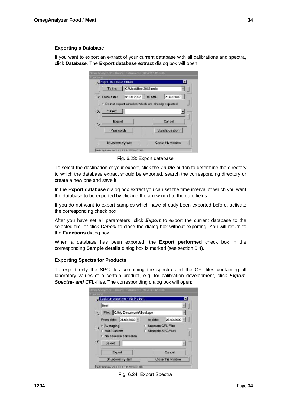#### **Exporting a Database**

If you want to export an extract of your current database with all calibrations and spectra, click *Database*. The **Export database extract** dialog box will open:

| D. Export database extract |                      | ø                                                  |
|----------------------------|----------------------|----------------------------------------------------|
| To file:                   | C:\Meal\Beef2002.mdb |                                                    |
| C: From date:              | 01.08.2002 - to date | 25.09.2002 -                                       |
|                            |                      | E Do not export samples which are already exported |
| Select:                    |                      |                                                    |
|                            |                      |                                                    |
|                            | Export               | Cancel                                             |
| -Da<br>$-$ Se              | Passwords            | Standardisation                                    |

Fig. 6.23: Export database

To select the destination of your export, click the *To file* button to determine the directory to which the database extract should be exported, search the corresponding directory or create a new one and save it.

In the **Export database** dialog box extract you can set the time interval of which you want the database to be exported by clicking the arrow next to the date fields.

If you do not want to export samples which have already been exported before, activate the corresponding check box.

After you have set all parameters, click *Export* to export the current database to the selected file, or click *Cancel* to close the dialog box without exporting. You will return to the **Functions** dialog box.

When a database has been exported, the **Export performed** check box in the corresponding **Sample details** dialog box is marked (see section 6.4).

#### **Exporting Spectra for Products**

To export only the SPC-files containing the spectra and the CFL-files containing all laboratory values of a certain product, e.g. for calibration development, click *Export-Spectra- and CFL*-files. The corresponding dialog box will open:

| Spektren exportieren für Produkt |                             | м |
|----------------------------------|-----------------------------|---|
| <b>Eee!</b>                      |                             |   |
| File: CMy Documents Beef.spc     |                             |   |
| From date: 01.08.2002 -          | 25.09.2002 -<br>to date:    |   |
| <b>P</b> Averaging               | <b>F</b> Separate CFL-Files |   |
| F 850-1043 nm                    | Separate SPC-Files          |   |
| No baseline correction           |                             |   |
| Select:                          |                             |   |
| Export                           | Cancel                      |   |
| Shutdown system                  | Close this window           |   |

Fig. 6.24: Export Spectra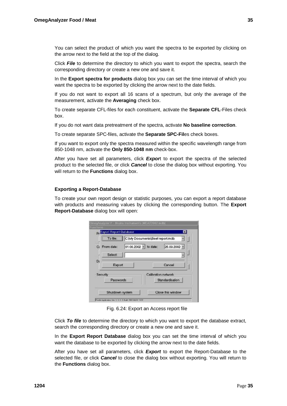You can select the product of which you want the spectra to be exported by clicking on the arrow next to the field at the top of the dialog.

Click *File* to determine the directory to which you want to export the spectra, search the corresponding directory or create a new one and save it.

In the **Export spectra for products** dialog box you can set the time interval of which you want the spectra to be exported by clicking the arrow next to the date fields.

If you do not want to export all 16 scans of a spectrum, but only the average of the measurement, activate the **Averaging** check box.

To create separate CFL-files for each constituent, activate the **Separate CFL**-Files check box.

If you do not want data pretreatment of the spectra, activate **No baseline correction**.

To create separate SPC-files, activate the **Separate SPC-Fil**es check boxes.

If you want to export only the spectra measured within the specific wavelength range from 850-1048 nm, activate the **Only 850-1048 nm** check-box.

After you have set all parameters, click *Expor*t to export the spectra of the selected product to the selected file, or click *Cancel* to close the dialog box without exporting. You will return to the **Functions** dialog box.

#### **Exporting a Report-Database**

To create your own report design or statistic purposes, you can export a report database with products and measuring values by clicking the corresponding button. The **Export Report-Database** dialog box will open:

|               | P. Export Report-Database | ⊡                                     |
|---------------|---------------------------|---------------------------------------|
|               | To file:                  | C:\My Documents\Beef report.mdb       |
| C: From date: |                           | 01.08.2002 - to date:<br>25.09.2002 - |
|               | Select:                   |                                       |
| D             | Export                    | Cancel                                |
| Security      |                           | Calibration natwork                   |
|               | Passwords                 | Standardisation                       |
|               |                           | Close this window                     |

Fig. 6.24: Export an Access report file

Click *To file* to determine the directory to which you want to export the database extract, search the corresponding directory or create a new one and save it.

In the **Export Report Database** dialog box you can set the time interval of which you want the database to be exported by clicking the arrow next to the date fields.

After you have set all parameters, click *Export* to export the Report-Database to the selected file, or click *Cancel* to close the dialog box without exporting. You will return to the **Functions** dialog box.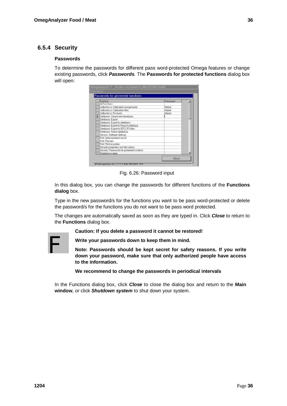### **6.5.4 Security**

#### **Passwords**

To determine the passwords for different pass word-protected Omega features or change existing passwords, click *Passwords*. The **Passwords for protected functions** dialog box will open:

| Passwords for protected functions           |          |  |
|---------------------------------------------|----------|--|
| Function                                    | Password |  |
| All Fordone                                 |          |  |
| Calibrations: Calibration assignments       | Mesta:   |  |
| Calibrations: Calibration files             | Meete:   |  |
| Calibrations: Products                      | Mesta:   |  |
| Detabase: Create new detabase               |          |  |
| Detabase: Export                            |          |  |
| Detabase: Export to detabase                |          |  |
| Database: Export to Report-catchage         |          |  |
| Detebase: Export to SPOCFL-files            |          |  |
| Detabase: Select detabase                   |          |  |
| Options: Software Settings                  |          |  |
| Print: Options/select report                |          |  |
| Print: Preview                              |          |  |
| Print: Print on printer                     |          |  |
| Sample properties and lab-values            |          |  |
| Security: Passwords for protected functions |          |  |
| Shutdown system                             |          |  |

Fig. 6.26: Password input

In this dialog box, you can change the passwords for different functions of the **Functions dialog** box.

Type in the new password/s for the functions you want to be pass word-protected or delete the password/s for the functions you do not want to be pass word protected.

The changes are automatically saved as soon as they are typed in. Click *Close* to return to the **Functions** dialog box.

**Caution: If you delete a password it cannot be restored!** 



**Write your passwords down to keep them in mind.** 

**Note: Passwords should be kept secret for safety reasons. If you write down your password, make sure that only authorized people have access to the information.** 

**We recommend to change the passwords in periodical intervals**

In the Functions dialog box, click *Close* to close the dialog box and return to the **Main window**, or click *Shutdown system* to shut down your system.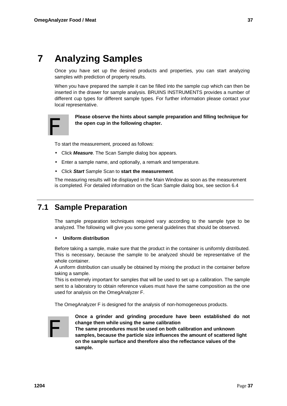# **7 Analyzing Samples**

Once you have set up the desired products and properties, you can start analyzing samples with prediction of property results.

When you have prepared the sample it can be filled into the sample cup which can then be inserted in the drawer for sample analysis. BRUINS INSTRUMENTS provides a number of different cup types for different sample types. For further information please contact your local representative.



**Please observe the hints about sample preparation and filling technique for the open cup in the following chapter.** 

To start the measurement, proceed as follows:

- Click *Measure*. The Scan Sample dialog box appears.
- Enter a sample name, and optionally, a remark and temperature.
- Click *Start* Sample Scan to **start the measurement**.

The measuring results will be displayed in the Main Window as soon as the measurement is completed. For detailed information on the Scan Sample dialog box, see section 6.4

### **7.1 Sample Preparation**

The sample preparation techniques required vary according to the sample type to be analyzed. The following will give you some general guidelines that should be observed.

#### • **Uniform distribution**

Before taking a sample, make sure that the product in the container is uniformly distributed. This is necessary, because the sample to be analyzed should be representative of the whole container.

A uniform distribution can usually be obtained by mixing the product in the container before taking a sample.

This is extremely important for samples that will be used to set up a calibration. The sample sent to a laboratory to obtain reference values must have the same composition as the one used for analysis on the OmegAnalyzer F.

The OmegAnalyzer F is designed for the analysis of non-homogeneous products.



**Once a grinder and grinding procedure have been established do not change them while using the same calibration** 

**The same procedures must be used on both calibration and unknown samples, because the particle size influences the amount of scattered light on the sample surface and therefore also the reflectance values of the sample.**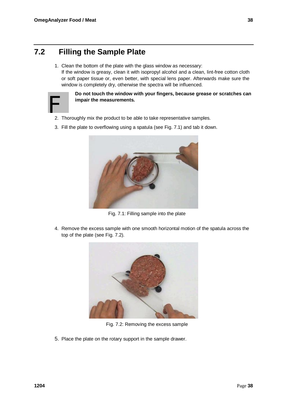### **7.2 Filling the Sample Plate**

1. Clean the bottom of the plate with the glass window as necessary: If the window is greasy, clean it with isopropyl alcohol and a clean, lint-free cotton cloth or soft paper tissue or, even better, with special lens paper. Afterwards make sure the window is completely dry, otherwise the spectra will be influenced.



**Do not touch the window with your fingers, because grease or scratches can impair the measurements.** 

- 2. Thoroughly mix the product to be able to take representative samples.
- 3. Fill the plate to overflowing using a spatula (see Fig. 7.1) and tab it down.



Fig. 7.1: Filling sample into the plate

4. Remove the excess sample with one smooth horizontal motion of the spatula across the top of the plate (see Fig. 7.2).



Fig. 7.2: Removing the excess sample

5. Place the plate on the rotary support in the sample drawer.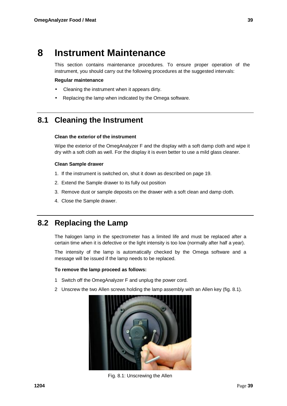## **8 Instrument Maintenance**

This section contains maintenance procedures. To ensure proper operation of the instrument, you should carry out the following procedures at the suggested intervals:

#### **Regular maintenance**

- Cleaning the instrument when it appears dirty.
- Replacing the lamp when indicated by the Omega software.

### **8.1 Cleaning the Instrument**

#### **Clean the exterior of the instrument**

Wipe the exterior of the OmegAnalyzer F and the display with a soft damp cloth and wipe it dry with a soft cloth as well. For the display it is even better to use a mild glass cleaner.

#### **Clean Sample drawer**

- 1. If the instrument is switched on, shut it down as described on page 19.
- 2. Extend the Sample drawer to its fully out position
- 3. Remove dust or sample deposits on the drawer with a soft clean and damp cloth.
- 4. Close the Sample drawer.

### **8.2 Replacing the Lamp**

The halogen lamp in the spectrometer has a limited life and must be replaced after a certain time when it is defective or the light intensity is too low (normally after half a year).

The intensity of the lamp is automatically checked by the Omega software and a message will be issued if the lamp needs to be replaced.

### **To remove the lamp proceed as follows:**

- 1 Switch off the OmegAnalyzer F and unplug the power cord.
- 2 Unscrew the two Allen screws holding the lamp assembly with an Allen key (fig. 8.1).



Fig. 8.1: Unscrewing the Allen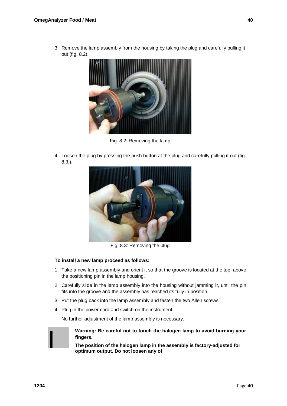3 Remove the lamp assembly from the housing by taking the plug and carefully pulling it out (fig. 8.2).



Fig. 8.2: Removing the lamp

4 Loosen the plug by pressing the push button at the plug and carefully pulling it out (fig. 8.3**.**).



Fig. 8.3: Removing the plug

#### **To install a new lamp proceed as follows:**

- 1. Take a new lamp assembly and orient it so that the groove is located at the top, above the positioning pin in the lamp housing.
- 2. Carefully slide in the lamp assembly into the housing without jamming it, until the pin fits into the groove and the assembly has reached its fully in position.
- 3. Put the plug back into the lamp assembly and fasten the two Allen screws.
- 4. Plug in the power cord and switch on the instrument.

No further adjustment of the lamp assembly is necessary.



**Warning: Be careful not to touch the halogen lamp to avoid burning your fingers.** 

**The position of the halogen lamp in the assembly is factory-adjusted for** I **optimum output. Do not loosen any of**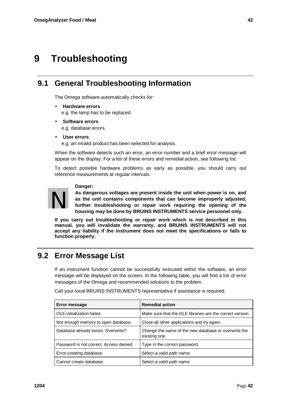# **9 Troubleshooting**

### **9.1 General Troubleshooting Information**

The Omega software automatically checks for:

- **Hardware errors**  e.g. the lamp has to be replaced.
- **Software errors**  e.g. database errors.
- **User errors**

e.g. an invalid product has been selected for analysis.

When the software detects such an error, an error number and a brief error message will appear on the display. For a list of these errors and remedial action, see following list.

To detect possible hardware problems as early as possible, you should carry out reference measurements at regular intervals.

#### **Danger:**



**As dangerous voltages are present inside the unit when power is on, and as the unit contains components that can become improperly adjusted, further troubleshooting or repair work requiring the opening of the housing may be done by BRUINS INSTRUMENTS service personnel only.** 

**If you carry out troubleshooting or repair work which is not described in this manual, you will invalidate the warranty, and BRUINS INSTRUMENTS will not accept any liability if the instrument does not meet the specifications or fails to function properly.**

### **9.2 Error Message List**

If an instrument function cannot be successfully executed within the software, an error message will be displayed on the screen. In the following table, you will find a list of error messages of the Omega and recommended solutions to the problem.

Call your local BRUINS INSTRUMENTS representative if assistance is required.

| <b>Error message</b>                    | <b>Remedial action</b>                                                |
|-----------------------------------------|-----------------------------------------------------------------------|
| OLE initialization failed.              | Make sure that the OLE libraries are the correct version.             |
| Not enough memory to open database.     | Close all other applications and try again.                           |
| Database already exists. Overwrite?     | Change the name of the new database or overwrite the<br>existing one. |
| Password is not correct. Access denied. | Type in the correct password.                                         |
| Error creating database.                | Select a valid path name.                                             |
| Cannot create database.                 | Select a valid path name.                                             |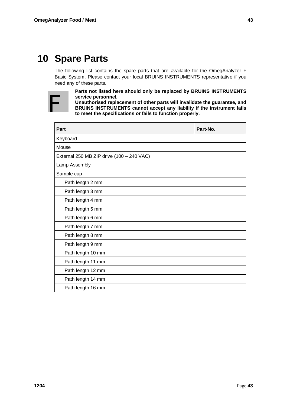# **10 Spare Parts**

The following list contains the spare parts that are available for the OmegAnalyzer F Basic System. Please contact your local BRUINS INSTRUMENTS representative if you need any of these parts.



**Parts not listed here should only be replaced by BRUINS INSTRUMENTS service personnel.** 

**Unauthorised replacement of other parts will invalidate the guarantee, and BRUINS INSTRUMENTS cannot accept any liability if the instrument fails to meet the specifications or fails to function properly.** 

| Part                                      | Part-No. |
|-------------------------------------------|----------|
| Keyboard                                  |          |
| Mouse                                     |          |
| External 250 MB ZIP drive (100 - 240 VAC) |          |
| Lamp Assembly                             |          |
| Sample cup                                |          |
| Path length 2 mm                          |          |
| Path length 3 mm                          |          |
| Path length 4 mm                          |          |
| Path length 5 mm                          |          |
| Path length 6 mm                          |          |
| Path length 7 mm                          |          |
| Path length 8 mm                          |          |
| Path length 9 mm                          |          |
| Path length 10 mm                         |          |
| Path length 11 mm                         |          |
| Path length 12 mm                         |          |
| Path length 14 mm                         |          |
| Path length 16 mm                         |          |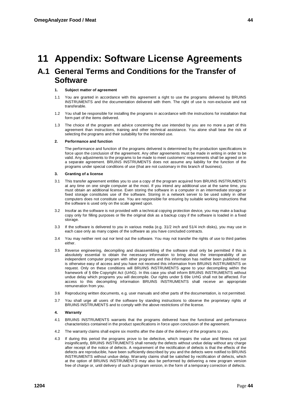## **11 Appendix: Software License Agreements**

### **A.1 General Terms and Conditions for the Transfer of Software**

#### **1. Subject matter of agreement**

- 1.1 You are granted in accordance with this agreement a right to use the programs delivered by BRUINS INSTRUMENTS and the documentation delivered with them. The right of use is non-exclusive and not transferable.
- 1.2 You shall be responsible for installing the programs in accordance with the instructions for installation that form part of the items delivered.
- 1.3 The choice of the program and advice concerning the use intended by you are no more a part of this agreement than instructions, training and other technical assistance. You alone shall bear the risk of selecting the programs and their suitability for the intended use.

#### **2. Performance and function**

The performance and function of the programs delivered is determined by the production specifications in force upon the conclusion of the agreement. Any other agreements must be made in writing in order to be valid. Any adjustments to the programs to be made to meet customers' requirements shall be agreed on in a separate agreement. BRUINS INSTRUMENTS does not assume any liability for the function of the programs under special conditions of use (that are not customary in this branch of business).

#### **3. Granting of a license**

- 3.1 This transfer agreement entitles you to use a copy of the program acquired from BRUINS INSTRUMENTS at any time on one single computer at the most. If you intend any additional use at the same time, you must obtain an additional license. Even storing the software in a computer in an intermediate storage or fixed storage constitutes use of the software. Storing in a network server to be used solely in other computers does not constitute use. You are responsible for ensuring by suitable working instructions that the software is used only on the scale agreed upon.
- 3.2 Insofar as the software is not provided with a technical copying protection device, you may make a backup copy only for filling purposes or file the original disk as a backup copy if the software is loaded in a fixed storage.
- 3.3 If the software is delivered to you in various media (e.g. 31/2 inch and 51/4 inch disks), you may use in each case only as many copies of the software as you have concluded contracts.
- 3.4 You may neither rent out nor lend out the software. You may not transfer the rights of use to third parties either.
- 3.5 Reverse engineering, decompiling and disassembling of the software shall only be permitted if this is absolutely essential to obtain the necessary information to bring about the interoperability of an independent computer program with other programs and this information has neither been published nor is otherwise easy of access and you have not received this information from BRUINS INSTRUMENTS on request. Only on these conditions will BRUINS INSTRUMENTS agree to your decompiling within the framework of § 69e Copyright Act (UrhG). In this case you shall inform BRUINS INSTRUMENTS without undue delay which programs you will decompile. Our rights under § 69e UrhG shall not be affected. For access to this decompiling information BRUINS INSTRUMENTS shall receive an appropriate remuneration from you.
- 3.6 Reproducing written documents, e.g. user manuals and other parts of the documentation, is not permitted.
- 3.7 You shall urge all users of the software by standing instructions to observe the proprietary rights of BRUINS INSTRUMENTS and to comply with the above restrictions of the license.

#### **4. Warranty**

- 4.1 BRUINS INSTRUMENTS warrants that the programs delivered have the functional and performance characteristics contained in the product specifications in force upon conclusion of the agreement.
- 4.2 The warranty claims shall expire six months after the date of the delivery of the programs to you.
- 4.3 If during this period the programs prove to be defective, which impairs the value and fitness not just insignificantly, BRUINS INSTRUMENTS shall remedy the defects without undue delay without any charge after receipt of the notice of defects. A requirement of the rectification of defects is that the effects of the defects are reproducible, have been sufficiently described by you and the defects were notified to BRUINS INSTRUMENTS without undue delay. Warranty claims shall be satisfied by rectification of defects, which at the option of BRUINS INSTRUMENTS may also be performed by delivering a new program version free of charge or, until delivery of such a program version, in the form of a temporary correction of defects.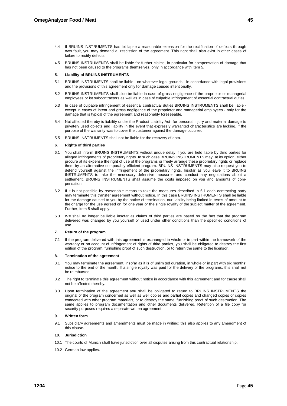- 4.4 If BRUINS INSTRUMENTS has let lapse a reasonable extension for the rectification of defects through own fault, you may demand a rescission of the agreement. This right shall also exist in other cases of failure to rectify defects.
- 4.5 BRUINS INSTRUMENTS shall be liable for further claims, in particular for compensation of damage that has not been caused to the programs themselves, only in accordance with item 5.

#### **5. Liability of BRUINS INSTRUMENTS**

- 5.1 BRUINS INSTRUMENTS shall be liable on whatever legal grounds in accordance with legal provisions and the provisions of this agreement only for damage caused intentionally.
- 5.2 BRUINS INSTRUMENTS shall also be liable in case of gross negligence of the proprietor or managerial employees or ist subcontractors as well as in case of culpable infringement of essential contractual duties.
- 5.3 In case of culpable infringement of essential contractual duties BRUINS INSTRUMENTS shall be liable except in cases of intent and gross negligence of the proprietor and managerial employees - only for the damage that is typical of the agreement and reasonably foreseeable.
- 5.4 Not affected thereby is liability under the Product Liability Act for personal injury and material damage to privately used objects and liability in the event that expressly warranted characteristics are lacking, if the purpose of the warranty was to cover the customer against the damage occurred.
- 5.5 BRUINS INSTRUMENTS shall not be liable for the recovery of data.

#### **6. Rights of third parties**

- 6.1 You shall inform BRUINS INSTRUMENTS without undue delay if you are held liable by third parties for alleged infringements of proprietary rights. In such case BRUINS INSTRUMENTS may, at its option, either procure at its expense the right of use of the programs or freely arrange these proprietary rights or replace them by an alternative comparably efficient program. BRUINS INSTRUMENTS may also request you to defend yourself against the infringement of the proprietary rights. Insofar as you leave it to BRUINS INSTRUMENTS to take the necessary defensive measures and conduct any negotiations about a settlement, BRUINS INSTRUMENTS shall assume the costs imposed on you and amounts of compensation.
- 6.2 If it is not possible by reasonable means to take the measures described in 6.1 each contracting party may terminate this transfer agreement without notice. In this case BRUINS INSTRUMENTS shall be liable for the damage caused to you by the notice of termination, our liability being limited in terms of amount to the charge for the use agreed on for one year or the single royalty of the subject matter of the agreement. Further, item 5 shall apply.
- 6.3 We shall no longer be liable insofar as claims of third parties are based on the fact that the program delivered was changed by you yourself or used under other conditions than the specified conditions of use.

#### **7. Return of the program**

7.1 If the program delivered with this agreement is exchanged in whole or in part within the framework of the warranty or on account of infringement of rights of third parties, you shall be obligated to destroy the first edition of the program, furnishing proof of such destruction, or to return the same to the licensor.

#### **8. Termination of the agreement**

- 8.1 You may terminate the agreement, insofar as it is of unlimited duration, in whole or in part with six months' notice to the end of the month. If a single royalty was paid for the delivery of the programs, this shall not be reimbursed.
- 8.2 The right to terminate this agreement without notice in accordance with this agreement and for cause shall not be affected thereby.
- 8.3 Upon termination of the agreement you shall be obligated to return to BRUINS INSTRUMENTS the original of the program concerned as well as well copies and partial copies and changed copies or copies connected with other program materials, or to destroy the same, furnishing proof of such destruction. The same applies to program documentation and other documents delivered. Retention of a file copy for security purposes requires a separate written agreement.

#### **9. Written form**

9.1 Subsidiary agreements and amendments must be made in writing; this also applies to any amendment of this clause.

#### **10. Jurisdiction**

- 10.1 The courts of Munich shall have jurisdiction over all disputes arising from this contractual relationship.
- 10.2 German law applies.